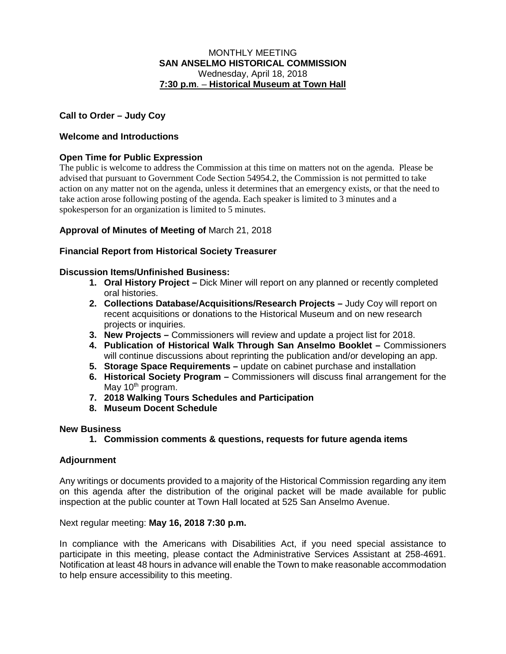### MONTHLY MEETING **SAN ANSELMO HISTORICAL COMMISSION** Wednesday, April 18, 2018 **7:30 p.m**. – **Historical Museum at Town Hall**

# **Call to Order – Judy Coy**

## **Welcome and Introductions**

## **Open Time for Public Expression**

The public is welcome to address the Commission at this time on matters not on the agenda. Please be advised that pursuant to Government Code Section 54954.2, the Commission is not permitted to take action on any matter not on the agenda, unless it determines that an emergency exists, or that the need to take action arose following posting of the agenda. Each speaker is limited to 3 minutes and a spokesperson for an organization is limited to 5 minutes.

### **Approval of Minutes of Meeting of** March 21, 2018

### **Financial Report from Historical Society Treasurer**

### **Discussion Items/Unfinished Business:**

- **1. Oral History Project –** Dick Miner will report on any planned or recently completed oral histories.
- **2. Collections Database/Acquisitions/Research Projects –** Judy Coy will report on recent acquisitions or donations to the Historical Museum and on new research projects or inquiries.
- **3. New Projects –** Commissioners will review and update a project list for 2018.
- **4. Publication of Historical Walk Through San Anselmo Booklet –** Commissioners will continue discussions about reprinting the publication and/or developing an app.
- **5. Storage Space Requirements –** update on cabinet purchase and installation
- **6. Historical Society Program –** Commissioners will discuss final arrangement for the May  $10<sup>th</sup>$  program.
- **7. 2018 Walking Tours Schedules and Participation**
- **8. Museum Docent Schedule**

### **New Business**

**1. Commission comments & questions, requests for future agenda items**

### **Adjournment**

Any writings or documents provided to a majority of the Historical Commission regarding any item on this agenda after the distribution of the original packet will be made available for public inspection at the public counter at Town Hall located at 525 San Anselmo Avenue.

Next regular meeting: **May 16, 2018 7:30 p.m.** 

In compliance with the Americans with Disabilities Act, if you need special assistance to participate in this meeting, please contact the Administrative Services Assistant at 258-4691. Notification at least 48 hours in advance will enable the Town to make reasonable accommodation to help ensure accessibility to this meeting.